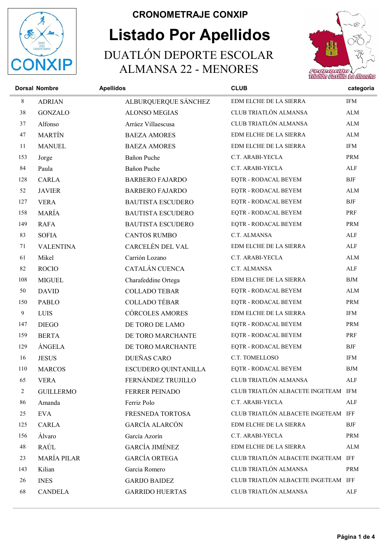

## Listado Por Apellidos CRONOMETRAJE CONXIP DUATLÓN DEPORTE ESCOLAR ALMANSA 22 - MENORES



|     | <b>Dorsal Nombre</b> | <b>Apellidos</b>         | <b>CLUB</b>                         | categoria            |
|-----|----------------------|--------------------------|-------------------------------------|----------------------|
| 8   | <b>ADRIAN</b>        | ALBURQUERQUE SÁNCHEZ     | EDM ELCHE DE LA SIERRA              | <b>IFM</b>           |
| 38  | <b>GONZALO</b>       | <b>ALONSO MEGIAS</b>     | CLUB TRIATLÓN ALMANSA               | ALM                  |
| 37  | Alfonso              | Arráez Villaescusa       | CLUB TRIATLÓN ALMANSA               | ${\rm ALM}$          |
| 47  | <b>MARTÍN</b>        | <b>BAEZA AMORES</b>      | EDM ELCHE DE LA SIERRA              | $\mbox{ALM}$         |
| 11  | <b>MANUEL</b>        | <b>BAEZA AMORES</b>      | EDM ELCHE DE LA SIERRA              | <b>IFM</b>           |
| 153 | Jorge                | Bañon Puche              | C.T. ARABI-YECLA                    | <b>PRM</b>           |
| 84  | Paula                | Bañon Puche              | C.T. ARABI-YECLA                    | ALF                  |
| 128 | <b>CARLA</b>         | <b>BARBERO FAJARDO</b>   | EQTR - RODACAL BEYEM                | <b>BJF</b>           |
| 52  | <b>JAVIER</b>        | <b>BARBERO FAJARDO</b>   | EQTR - RODACAL BEYEM                | ALM                  |
| 127 | <b>VERA</b>          | <b>BAUTISTA ESCUDERO</b> | EQTR - RODACAL BEYEM                | $\operatorname{BJF}$ |
| 158 | MARÍA                | <b>BAUTISTA ESCUDERO</b> | EQTR - RODACAL BEYEM                | PRF                  |
| 149 | <b>RAFA</b>          | <b>BAUTISTA ESCUDERO</b> | EQTR - RODACAL BEYEM                | <b>PRM</b>           |
| 83  | <b>SOFIA</b>         | <b>CANTOS RUMBO</b>      | C.T. ALMANSA                        | ALF                  |
| 71  | <b>VALENTINA</b>     | CARCELÉN DEL VAL         | EDM ELCHE DE LA SIERRA              | ALF                  |
| 61  | Mikel                | Carrión Lozano           | C.T. ARABI-YECLA                    | $\mbox{ALM}$         |
| 82  | <b>ROCIO</b>         | CATALÁN CUENCA           | C.T. ALMANSA                        | ALF                  |
| 108 | <b>MIGUEL</b>        | Charafeddine Ortega      | EDM ELCHE DE LA SIERRA              | BJM                  |
| 50  | <b>DAVID</b>         | <b>COLLADO TEBAR</b>     | EQTR - RODACAL BEYEM                | ALM                  |
| 150 | PABLO                | <b>COLLADO TÉBAR</b>     | EQTR - RODACAL BEYEM                | PRM                  |
| 9   | LUIS                 | <b>CÓRCOLES AMORES</b>   | EDM ELCHE DE LA SIERRA              | IFM                  |
| 147 | <b>DIEGO</b>         | DE TORO DE LAMO          | EQTR - RODACAL BEYEM                | PRM                  |
| 159 | <b>BERTA</b>         | DE TORO MARCHANTE        | EQTR - RODACAL BEYEM                | PRF                  |
| 129 | ÁNGELA               | DE TORO MARCHANTE        | EQTR - RODACAL BEYEM                | <b>BJF</b>           |
| 16  | <b>JESUS</b>         | DUEÑAS CARO              | C.T. TOMELLOSO                      | <b>IFM</b>           |
| 110 | <b>MARCOS</b>        | ESCUDERO QUINTANILLA     | EQTR - RODACAL BEYEM                | <b>BJM</b>           |
| 65  | <b>VERA</b>          | FERNÁNDEZ TRUJILLO       | CLUB TRIATLÓN ALMANSA               | ALF                  |
| 2   | <b>GUILLERMO</b>     | FERRER PEINADO           | CLUB TRIATLÓN ALBACETE INGETEAM IFM |                      |
| 86  | Amanda               | Ferriz Polo              | C.T. ARABI-YECLA                    | ALF                  |
| 25  | <b>EVA</b>           | FRESNEDA TORTOSA         | CLUB TRIATLÓN ALBACETE INGETEAM IFF |                      |
| 125 | CARLA                | GARCÍA ALARCÓN           | EDM ELCHE DE LA SIERRA              | BJF                  |
| 156 | Álvaro               | García Azorín            | C.T. ARABI-YECLA                    | PRM                  |
| 48  | RAÚL                 | <b>GARCÍA JIMÉNEZ</b>    | EDM ELCHE DE LA SIERRA              | ALM                  |
| 23  | MARÍA PILAR          | <b>GARCÍA ORTEGA</b>     | CLUB TRIATLÓN ALBACETE INGETEAM IFF |                      |
| 143 | Kilian               | Garcia Romero            | CLUB TRIATLÓN ALMANSA               | PRM                  |
| 26  | <b>INES</b>          | <b>GARIJO BAIDEZ</b>     | CLUB TRIATLÓN ALBACETE INGETEAM IFF |                      |
| 68  | <b>CANDELA</b>       | <b>GARRIDO HUERTAS</b>   | CLUB TRIATLÓN ALMANSA               | ALF                  |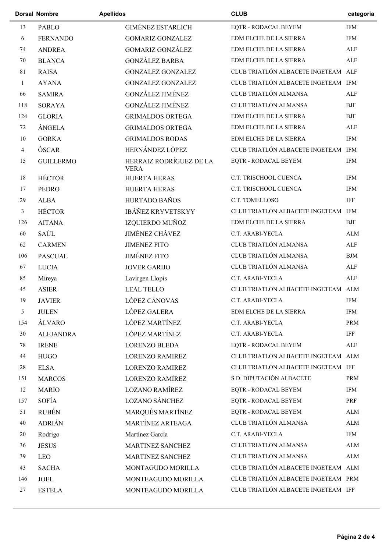|                | <b>Dorsal Nombre</b> | <b>Apellidos</b>                       | <b>CLUB</b>                         | categoria   |
|----------------|----------------------|----------------------------------------|-------------------------------------|-------------|
| 13             | <b>PABLO</b>         | <b>GIMÉNEZ ESTARLICH</b>               | EQTR - RODACAL BEYEM                | <b>IFM</b>  |
| 6              | <b>FERNANDO</b>      | <b>GOMARIZ GONZALEZ</b>                | EDM ELCHE DE LA SIERRA              | <b>IFM</b>  |
| 74             | <b>ANDREA</b>        | <b>GOMARIZ GONZÁLEZ</b>                | EDM ELCHE DE LA SIERRA              | ALF         |
| 70             | <b>BLANCA</b>        | <b>GONZÁLEZ BARBA</b>                  | EDM ELCHE DE LA SIERRA              | <b>ALF</b>  |
| 81             | <b>RAISA</b>         | <b>GONZALEZ GONZALEZ</b>               | CLUB TRIATLÓN ALBACETE INGETEAM ALF |             |
| $\mathbf{1}$   | <b>AYANA</b>         | <b>GONZALEZ GONZALEZ</b>               | CLUB TRIATLÓN ALBACETE INGETEAM IFM |             |
| 66             | <b>SAMIRA</b>        | GONZÁLEZ JIMÉNEZ                       | CLUB TRIATLÓN ALMANSA               | <b>ALF</b>  |
| 118            | <b>SORAYA</b>        | <b>GONZÁLEZ JIMÉNEZ</b>                | CLUB TRIATLÓN ALMANSA               | <b>BJF</b>  |
| 124            | <b>GLORIA</b>        | <b>GRIMALDOS ORTEGA</b>                | EDM ELCHE DE LA SIERRA              | <b>BJF</b>  |
| 72             | ÁNGELA               | <b>GRIMALDOS ORTEGA</b>                | EDM ELCHE DE LA SIERRA              | ALF         |
| 10             | <b>GORKA</b>         | <b>GRIMALDOS RODAS</b>                 | EDM ELCHE DE LA SIERRA              | <b>IFM</b>  |
| $\overline{4}$ | ÓSCAR                | HERNÁNDEZ LÓPEZ                        | CLUB TRIATLÓN ALBACETE INGETEAM IFM |             |
| 15             | <b>GUILLERMO</b>     | HERRAIZ RODRÍGUEZ DE LA<br><b>VERA</b> | EQTR - RODACAL BEYEM                | <b>IFM</b>  |
| 18             | <b>HÉCTOR</b>        | <b>HUERTA HERAS</b>                    | C.T. TRISCHOOL CUENCA               | <b>IFM</b>  |
| 17             | <b>PEDRO</b>         | <b>HUERTA HERAS</b>                    | C.T. TRISCHOOL CUENCA               | <b>IFM</b>  |
| 29             | <b>ALBA</b>          | <b>HURTADO BAÑOS</b>                   | C.T. TOMELLOSO                      | <b>IFF</b>  |
| $\mathfrak{Z}$ | <b>HÉCTOR</b>        | <b>IBÁÑEZ KRYVETSKYY</b>               | CLUB TRIATLÓN ALBACETE INGETEAM IFM |             |
| 126            | <b>AITANA</b>        | IZQUIERDO MUÑOZ                        | EDM ELCHE DE LA SIERRA              | <b>BJF</b>  |
| 60             | SAÚL                 | <b>JIMÉNEZ CHÁVEZ</b>                  | C.T. ARABI-YECLA                    | <b>ALM</b>  |
| 62             | <b>CARMEN</b>        | <b>JIMENEZ FITO</b>                    | CLUB TRIATLÓN ALMANSA               | ALF         |
| 106            | <b>PASCUAL</b>       | <b>JIMÉNEZ FITO</b>                    | CLUB TRIATLÓN ALMANSA               | BJM         |
| 67             | <b>LUCIA</b>         | <b>JOVER GARIJO</b>                    | CLUB TRIATLÓN ALMANSA               | ALF         |
| 85             | Mireya               | Lavirgen Llopis                        | C.T. ARABI-YECLA                    | ALF         |
| 45             | <b>ASIER</b>         | <b>LEAL TELLO</b>                      | CLUB TRIATLÓN ALBACETE INGETEAM ALM |             |
| 19             | <b>JAVIER</b>        | LÓPEZ CÁNOVAS                          | C.T. ARABI-YECLA                    | <b>IFM</b>  |
| 5              | <b>JULEN</b>         | LÓPEZ GALERA                           | EDM ELCHE DE LA SIERRA              | <b>IFM</b>  |
| 154            | ÁLVARO               | LÓPEZ MARTÍNEZ                         | C.T. ARABI-YECLA                    | PRM         |
| 30             | <b>ALEJANDRA</b>     | LÓPEZ MARTÍNEZ                         | C.T. ARABI-YECLA                    | <b>IFF</b>  |
| 78             | <b>IRENE</b>         | <b>LORENZO BLEDA</b>                   | EQTR - RODACAL BEYEM                | ALF         |
| 44             | <b>HUGO</b>          | <b>LORENZO RAMIREZ</b>                 | CLUB TRIATLÓN ALBACETE INGETEAM ALM |             |
| 28             | <b>ELSA</b>          | <b>LORENZO RAMIREZ</b>                 | CLUB TRIATLÓN ALBACETE INGETEAM IFF |             |
| 151            | <b>MARCOS</b>        | <b>LORENZO RAMÍREZ</b>                 | S.D. DIPUTACIÓN ALBACETE            | PRM         |
| 12             | <b>MARIO</b>         | <b>LOZANO RAMÍREZ</b>                  | EQTR - RODACAL BEYEM                | <b>IFM</b>  |
| 157            | SOFÍA                | <b>LOZANO SÁNCHEZ</b>                  | EQTR - RODACAL BEYEM                | PRF         |
| 51             | <b>RUBÉN</b>         | MARQUÉS MARTÍNEZ                       | EQTR - RODACAL BEYEM                | ${\rm ALM}$ |
| $40\,$         | <b>ADRIÁN</b>        | MARTÍNEZ ARTEAGA                       | CLUB TRIATLÓN ALMANSA               | ${\rm ALM}$ |
| 20             | Rodrigo              | Martínez García                        | C.T. ARABI-YECLA                    | IFM         |
| 36             | <b>JESUS</b>         | MARTINEZ SANCHEZ                       | CLUB TRIATLÓN ALMANSA               | ALM         |
| 39             | LEO                  | MARTINEZ SANCHEZ                       | CLUB TRIATLÓN ALMANSA               | ALM         |
| 43             | <b>SACHA</b>         | MONTAGUDO MORILLA                      | CLUB TRIATLÓN ALBACETE INGETEAM ALM |             |
| 146            | JOEL                 | MONTEAGUDO MORILLA                     | CLUB TRIATLÓN ALBACETE INGETEAM PRM |             |
| 27             | <b>ESTELA</b>        | MONTEAGUDO MORILLA                     | CLUB TRIATLÓN ALBACETE INGETEAM IFF |             |
|                |                      |                                        |                                     |             |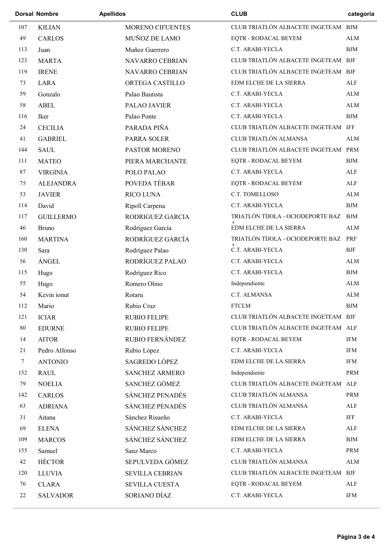|        | <b>Dorsal Nombre</b> | <b>Apellidos</b>       | <b>CLUB</b>                           | categoria   |
|--------|----------------------|------------------------|---------------------------------------|-------------|
| 107    | <b>KILIAN</b>        | MORENO CIFUENTES       | CLUB TRIATLÓN ALBACETE INGETEAM BJM   |             |
| 49     | <b>CARLOS</b>        | MUÑOZ DE LAMO          | EQTR - RODACAL BEYEM                  | ALM         |
| 113    | Juan                 | Muñoz Guerrero         | C.T. ARABI-YECLA                      | BJM         |
| 123    | <b>MARTA</b>         | NAVARRO CEBRIAN        | CLUB TRIATLÓN ALBACETE INGETEAM BJF   |             |
| 119    | <b>IRENE</b>         | NAVARRO CEBRIAN        | CLUB TRIATLÓN ALBACETE INGETEAM BJF   |             |
| 73     | <b>LARA</b>          | ORTEGA CASTILLO        | EDM ELCHE DE LA SIERRA                | ALF         |
| 59     | Gonzalo              | Palao Bautista         | C.T. ARABI-YECLA                      | ALM         |
| 58     | <b>ABEL</b>          | PALAO JAVIER           | C.T. ARABI-YECLA                      | ${\rm ALM}$ |
| 116    | Iker                 | Palao Ponte            | C.T. ARABI-YECLA                      | ${\rm BJM}$ |
| 24     | <b>CECILIA</b>       | PARADA PIÑA            | CLUB TRIATLÓN ALBACETE INGETEAM IFF   |             |
| 41     | <b>GABRIEL</b>       | PARRA SOLER            | CLUB TRIATLÓN ALMANSA                 | ALM         |
| 144    | <b>SAUL</b>          | PASTOR MORENO          | CLUB TRIATLÓN ALBACETE INGETEAM PRM   |             |
| 111    | <b>MATEO</b>         | PIERA MARCHANTE        | EQTR - RODACAL BEYEM                  | <b>BJM</b>  |
| 87     | <b>VIRGINIA</b>      | POLO PALAO             | C.T. ARABI-YECLA                      | ALF         |
| 75     | <b>ALEJANDRA</b>     | POVEDA TÉBAR           | EQTR - RODACAL BEYEM                  | ALF         |
| 53     | <b>JAVIER</b>        | RICO LUNA              | C.T. TOMELLOSO                        | ALM         |
| 114    | David                | Ripoll Carpena         | C.T. ARABI-YECLA                      | <b>BJM</b>  |
| 117    | <b>GUILLERMO</b>     | RODRIGUEZ GARCIA       | TRIATLÓN TÍJOLA - OCIODEPORTE BAZ BJM |             |
| 46     | <b>Bruno</b>         | Rodríguez García       | EDM ELCHE DE LA SIERRA                | ALM         |
| 160    | <b>MARTINA</b>       | RODRÍGUEZ GARCÍA       | TRIATLÓN TÍJOLA - OCIODEPORTE BAZ     | PRF         |
| 130    | Sara                 | Rodríguez Palao        | C.T. ARABI-YECLA                      | <b>BJF</b>  |
| 56     | <b>ÁNGEL</b>         | RODRÍGUEZ PALAO        | C.T. ARABI-YECLA                      | ALM         |
| 115    | Hugo                 | Rodríguez Rico         | C.T. ARABI-YECLA                      | <b>BJM</b>  |
| 55     | Hugo                 | Romero Olmo            | Independiente                         | ALM         |
| 54     | Kevin ionut          | Rotaru                 | C.T. ALMANSA                          | ALM         |
| 112    | Mario                | Rubio Cruz             | <b>FTCLM</b>                          | ${\rm BJM}$ |
| 121    | <b>ICIAR</b>         | <b>RUBIO FELIPE</b>    | CLUB TRIATLÓN ALBACETE INGETEAM BJF   |             |
| 80     | <b>EDURNE</b>        | <b>RUBIO FELIPE</b>    | CLUB TRIATLÓN ALBACETE INGETEAM ALF   |             |
| 14     | <b>AITOR</b>         | <b>RUBIO FERNÁNDEZ</b> | <b>EQTR - RODACAL BEYEM</b>           | IFM         |
| 21     | Pedro Alfonso        | Rubio López            | C.T. ARABI-YECLA                      | <b>IFM</b>  |
| $\tau$ | <b>ANTONIO</b>       | SAGREDO LÓPEZ          | EDM ELCHE DE LA SIERRA                | <b>IFM</b>  |
| 152    | <b>RAUL</b>          | <b>SANCHEZ ARMERO</b>  | Independiente                         | PRM         |
| 79     | <b>NOELIA</b>        | SANCHEZ GÓMEZ          | CLUB TRIATLÓN ALBACETE INGETEAM ALF   |             |
| 142    | <b>CARLOS</b>        | SÁNCHEZ PENADÉS        | CLUB TRIATLÓN ALMANSA                 | PRM         |
| 63     | <b>ADRIANA</b>       | SÁNCHEZ PENADÉS        | CLUB TRIATLÓN ALMANSA                 | ALF         |
| 31     | Aitana               | Sánchez Risueño        | C.T. ARABI-YECLA                      | IFF         |
| 69     | <b>ELENA</b>         | SÁNCHEZ SÁNCHEZ        | EDM ELCHE DE LA SIERRA                | ALF         |
| 109    | <b>MARCOS</b>        | SÁNCHEZ SÁNCHEZ        | EDM ELCHE DE LA SIERRA                | <b>BJM</b>  |
| 155    | Samuel               | Sanz Marco             | C.T. ARABI-YECLA                      | PRM         |
| 42     | <b>HÉCTOR</b>        | SEPULVEDA GÓMEZ        | CLUB TRIATLÓN ALMANSA                 | ${\rm ALM}$ |
| 120    | <b>LLUVIA</b>        | <b>SEVILLA CEBRIAN</b> | CLUB TRIATLÓN ALBACETE INGETEAM BJF   |             |
| 76     | <b>CLARA</b>         | <b>SEVILLA CUESTA</b>  | EQTR - RODACAL BEYEM                  | ALF         |
| 22     | <b>SALVADOR</b>      | SORIANO DÍAZ           | C.T. ARABI-YECLA                      | IFM         |
|        |                      |                        |                                       |             |